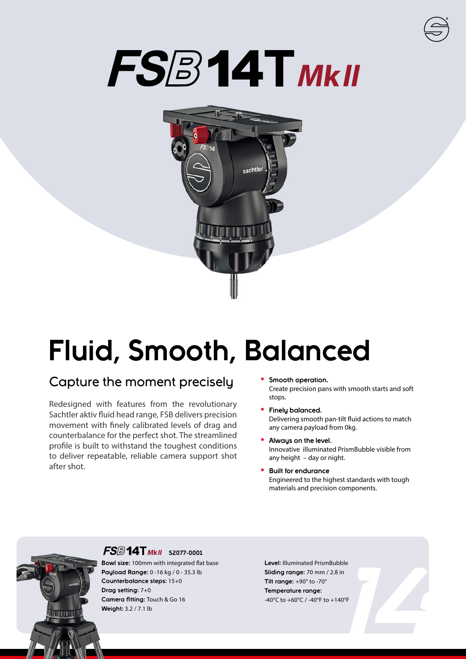# FSB14T MKII



# **Fluid, Smooth, Balanced**

# Capture the moment precisely

Redesigned with features from the revolutionary Sachtler aktiv fluid head range, FSB delivers precision movement with finely calibrated levels of drag and counterbalance for the perfect shot. The streamlined profile is built to withstand the toughest conditions to deliver repeatable, reliable camera support shot after shot.

- **• Smooth operation.** Create precision pans with smooth starts and soft stops.
- **• Finely balanced.** Delivering smooth pan-tilt fluid actions to match any camera payload from 0kg.
- **• Always on the level.** Innovative illuminated PrismBubble visible from any height – day or night.
- **• Built for endurance** Engineered to the highest standards with tough materials and precision components.

# **Quantity**

### **FS**<sup>3</sup>14T<sub>MkII</sub> s2077-0001

**Bowl size:** 100mm with integrated flat base **Payload Range:** 0 -16 kg / 0 - 35.3 lb **Counterbalance steps:** 15+0 **Drag setting:** 7+0 **Camera fitting:** Touch & Go 16 **Weight:** 3.2 / 7.1 lb

**10**<br>OF **14 Level:** Illuminated PrismBubble **Sliding range:** 70 mm / 2.8 in **Tilt range:** +90° to -70° **Temperature range:** -40°C to +60°C / -40°F to +140°F